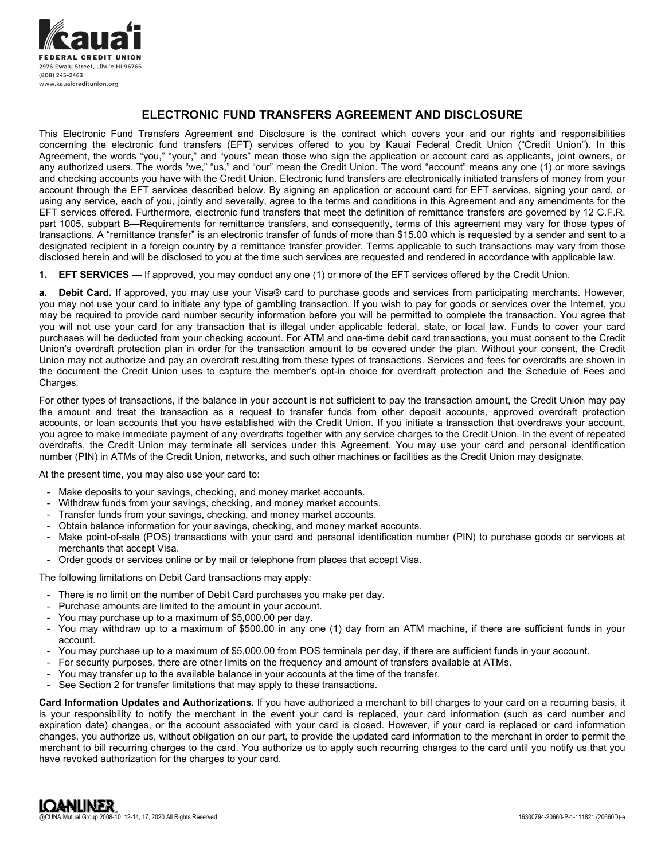

# **ELECTRONIC FUND TRANSFERS AGREEMENT AND DISCLOSURE**

This Electronic Fund Transfers Agreement and Disclosure is the contract which covers your and our rights and responsibilities concerning the electronic fund transfers (EFT) services offered to you by Kauai Federal Credit Union ("Credit Union"). In this Agreement, the words "you," "your," and "yours" mean those who sign the application or account card as applicants, joint owners, or any authorized users. The words "we," "us," and "our" mean the Credit Union. The word "account" means any one (1) or more savings and checking accounts you have with the Credit Union. Electronic fund transfers are electronically initiated transfers of money from your account through the EFT services described below. By signing an application or account card for EFT services, signing your card, or using any service, each of you, jointly and severally, agree to the terms and conditions in this Agreement and any amendments for the EFT services offered. Furthermore, electronic fund transfers that meet the definition of remittance transfers are governed by 12 C.F.R. part 1005, subpart B—Requirements for remittance transfers, and consequently, terms of this agreement may vary for those types of transactions. A "remittance transfer" is an electronic transfer of funds of more than \$15.00 which is requested by a sender and sent to a designated recipient in a foreign country by a remittance transfer provider. Terms applicable to such transactions may vary from those disclosed herein and will be disclosed to you at the time such services are requested and rendered in accordance with applicable law.

**1. EFT SERVICES —** If approved, you may conduct any one (1) or more of the EFT services offered by the Credit Union.

**a. Debit Card.** If approved, you may use your Visa® card to purchase goods and services from participating merchants. However, you may not use your card to initiate any type of gambling transaction. If you wish to pay for goods or services over the Internet, you may be required to provide card number security information before you will be permitted to complete the transaction. You agree that you will not use your card for any transaction that is illegal under applicable federal, state, or local law. Funds to cover your card purchases will be deducted from your checking account. For ATM and one-time debit card transactions, you must consent to the Credit Union's overdraft protection plan in order for the transaction amount to be covered under the plan. Without your consent, the Credit Union may not authorize and pay an overdraft resulting from these types of transactions. Services and fees for overdrafts are shown in the document the Credit Union uses to capture the member's opt-in choice for overdraft protection and the Schedule of Fees and Charges.

For other types of transactions, if the balance in your account is not sufficient to pay the transaction amount, the Credit Union may pay the amount and treat the transaction as a request to transfer funds from other deposit accounts, approved overdraft protection accounts, or loan accounts that you have established with the Credit Union. If you initiate a transaction that overdraws your account, you agree to make immediate payment of any overdrafts together with any service charges to the Credit Union. In the event of repeated overdrafts, the Credit Union may terminate all services under this Agreement. You may use your card and personal identification number (PIN) in ATMs of the Credit Union, networks, and such other machines or facilities as the Credit Union may designate.

At the present time, you may also use your card to:

- Make deposits to your savings, checking, and money market accounts.
- Withdraw funds from your savings, checking, and money market accounts.
- Transfer funds from your savings, checking, and money market accounts.
- Obtain balance information for your savings, checking, and money market accounts.
- Make point-of-sale (POS) transactions with your card and personal identification number (PIN) to purchase goods or services at merchants that accept Visa.
- Order goods or services online or by mail or telephone from places that accept Visa.

The following limitations on Debit Card transactions may apply:

- There is no limit on the number of Debit Card purchases you make per day.
- Purchase amounts are limited to the amount in your account.
- You may purchase up to a maximum of \$5,000.00 per day.
- You may withdraw up to a maximum of \$500.00 in any one (1) day from an ATM machine, if there are sufficient funds in your account.
- You may purchase up to a maximum of \$5,000.00 from POS terminals per day, if there are sufficient funds in your account.
- For security purposes, there are other limits on the frequency and amount of transfers available at ATMs.
- You may transfer up to the available balance in your accounts at the time of the transfer.
- See Section 2 for transfer limitations that may apply to these transactions.

**Card Information Updates and Authorizations.** If you have authorized a merchant to bill charges to your card on a recurring basis, it is your responsibility to notify the merchant in the event your card is replaced, your card information (such as card number and expiration date) changes, or the account associated with your card is closed. However, if your card is replaced or card information changes, you authorize us, without obligation on our part, to provide the updated card information to the merchant in order to permit the merchant to bill recurring charges to the card. You authorize us to apply such recurring charges to the card until you notify us that you have revoked authorization for the charges to your card.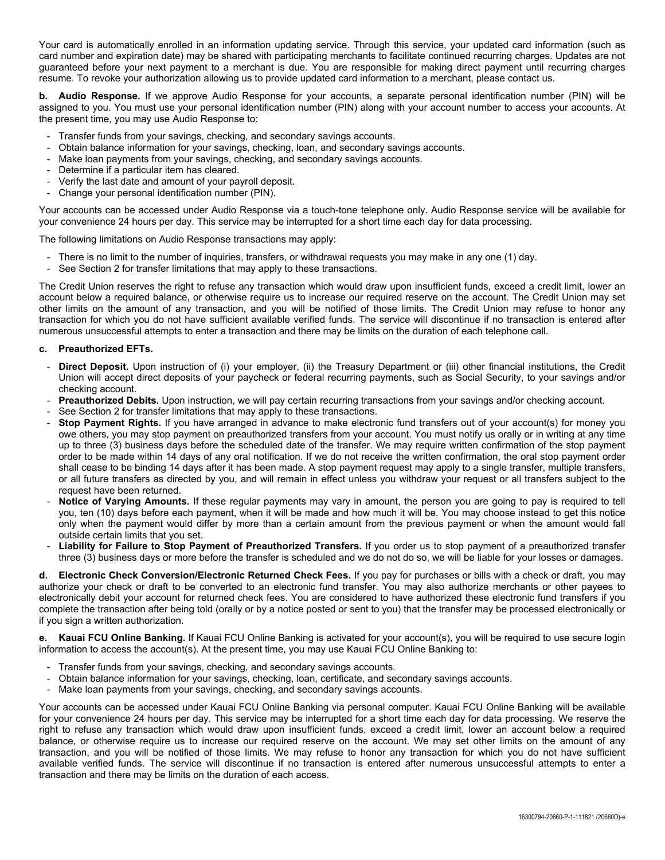Your card is automatically enrolled in an information updating service. Through this service, your updated card information (such as card number and expiration date) may be shared with participating merchants to facilitate continued recurring charges. Updates are not guaranteed before your next payment to a merchant is due. You are responsible for making direct payment until recurring charges resume. To revoke your authorization allowing us to provide updated card information to a merchant, please contact us.

**b. Audio Response.** If we approve Audio Response for your accounts, a separate personal identification number (PIN) will be assigned to you. You must use your personal identification number (PIN) along with your account number to access your accounts. At the present time, you may use Audio Response to:

- Transfer funds from your savings, checking, and secondary savings accounts.
- Obtain balance information for your savings, checking, loan, and secondary savings accounts.
- Make loan payments from your savings, checking, and secondary savings accounts.
- Determine if a particular item has cleared.
- Verify the last date and amount of your payroll deposit.
- Change your personal identification number (PIN).

Your accounts can be accessed under Audio Response via a touch-tone telephone only. Audio Response service will be available for your convenience 24 hours per day. This service may be interrupted for a short time each day for data processing.

The following limitations on Audio Response transactions may apply:

- There is no limit to the number of inquiries, transfers, or withdrawal requests you may make in any one (1) day.
- See Section 2 for transfer limitations that may apply to these transactions.

The Credit Union reserves the right to refuse any transaction which would draw upon insufficient funds, exceed a credit limit, lower an account below a required balance, or otherwise require us to increase our required reserve on the account. The Credit Union may set other limits on the amount of any transaction, and you will be notified of those limits. The Credit Union may refuse to honor any transaction for which you do not have sufficient available verified funds. The service will discontinue if no transaction is entered after numerous unsuccessful attempts to enter a transaction and there may be limits on the duration of each telephone call.

### **c. Preauthorized EFTs.**

- Direct Deposit. Upon instruction of (i) your employer, (ii) the Treasury Department or (iii) other financial institutions, the Credit Union will accept direct deposits of your paycheck or federal recurring payments, such as Social Security, to your savings and/or checking account.
- Preauthorized Debits. Upon instruction, we will pay certain recurring transactions from your savings and/or checking account.
- See Section 2 for transfer limitations that may apply to these transactions.
- Stop Payment Rights. If you have arranged in advance to make electronic fund transfers out of your account(s) for money you owe others, you may stop payment on preauthorized transfers from your account. You must notify us orally or in writing at any time up to three (3) business days before the scheduled date of the transfer. We may require written confirmation of the stop payment order to be made within 14 days of any oral notification. If we do not receive the written confirmation, the oral stop payment order shall cease to be binding 14 days after it has been made. A stop payment request may apply to a single transfer, multiple transfers, or all future transfers as directed by you, and will remain in effect unless you withdraw your request or all transfers subject to the request have been returned.
- Notice of Varying Amounts. If these regular payments may vary in amount, the person you are going to pay is required to tell you, ten (10) days before each payment, when it will be made and how much it will be. You may choose instead to get this notice only when the payment would differ by more than a certain amount from the previous payment or when the amount would fall outside certain limits that you set.
- **Liability for Failure to Stop Payment of Preauthorized Transfers.** If you order us to stop payment of a preauthorized transfer three (3) business days or more before the transfer is scheduled and we do not do so, we will be liable for your losses or damages.

**d. Electronic Check Conversion/Electronic Returned Check Fees.** If you pay for purchases or bills with a check or draft, you may authorize your check or draft to be converted to an electronic fund transfer. You may also authorize merchants or other payees to electronically debit your account for returned check fees. You are considered to have authorized these electronic fund transfers if you complete the transaction after being told (orally or by a notice posted or sent to you) that the transfer may be processed electronically or if you sign a written authorization.

**e. Kauai FCU Online Banking.** If Kauai FCU Online Banking is activated for your account(s), you will be required to use secure login information to access the account(s). At the present time, you may use Kauai FCU Online Banking to:

- Transfer funds from your savings, checking, and secondary savings accounts.
- Obtain balance information for your savings, checking, loan, certificate, and secondary savings accounts.
- Make loan payments from your savings, checking, and secondary savings accounts.

Your accounts can be accessed under Kauai FCU Online Banking via personal computer. Kauai FCU Online Banking will be available for your convenience 24 hours per day. This service may be interrupted for a short time each day for data processing. We reserve the right to refuse any transaction which would draw upon insufficient funds, exceed a credit limit, lower an account below a required balance, or otherwise require us to increase our required reserve on the account. We may set other limits on the amount of any transaction, and you will be notified of those limits. We may refuse to honor any transaction for which you do not have sufficient available verified funds. The service will discontinue if no transaction is entered after numerous unsuccessful attempts to enter a transaction and there may be limits on the duration of each access.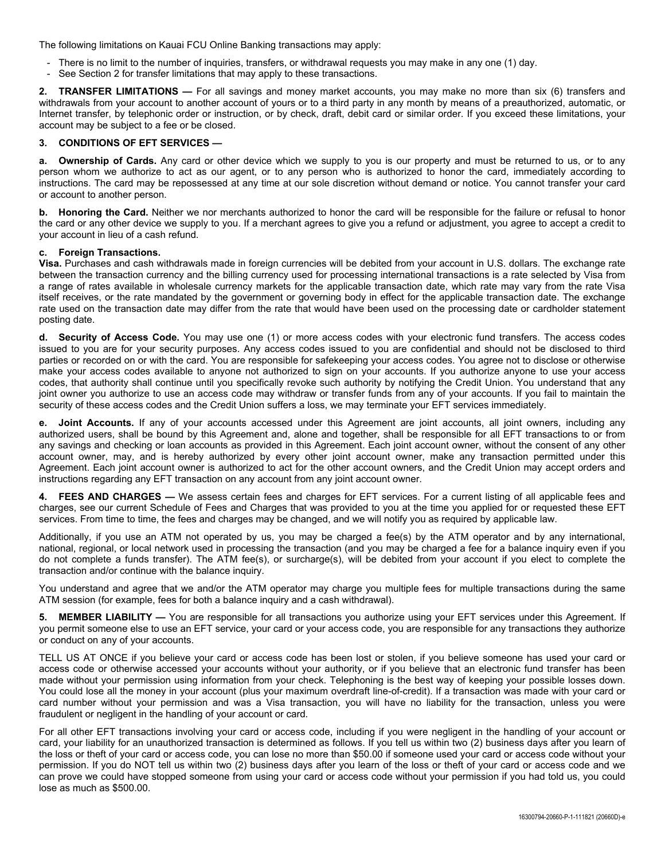The following limitations on Kauai FCU Online Banking transactions may apply:

- There is no limit to the number of inquiries, transfers, or withdrawal requests you may make in any one (1) day.
- See Section 2 for transfer limitations that may apply to these transactions.

**2. TRANSFER LIMITATIONS —** For all savings and money market accounts, you may make no more than six (6) transfers and withdrawals from your account to another account of yours or to a third party in any month by means of a preauthorized, automatic, or Internet transfer, by telephonic order or instruction, or by check, draft, debit card or similar order. If you exceed these limitations, your account may be subject to a fee or be closed.

### **3. CONDITIONS OF EFT SERVICES —**

**a. Ownership of Cards.** Any card or other device which we supply to you is our property and must be returned to us, or to any person whom we authorize to act as our agent, or to any person who is authorized to honor the card, immediately according to instructions. The card may be repossessed at any time at our sole discretion without demand or notice. You cannot transfer your card or account to another person.

**b. Honoring the Card.** Neither we nor merchants authorized to honor the card will be responsible for the failure or refusal to honor the card or any other device we supply to you. If a merchant agrees to give you a refund or adjustment, you agree to accept a credit to your account in lieu of a cash refund.

### **c. Foreign Transactions.**

**Visa.** Purchases and cash withdrawals made in foreign currencies will be debited from your account in U.S. dollars. The exchange rate between the transaction currency and the billing currency used for processing international transactions is a rate selected by Visa from a range of rates available in wholesale currency markets for the applicable transaction date, which rate may vary from the rate Visa itself receives, or the rate mandated by the government or governing body in effect for the applicable transaction date. The exchange rate used on the transaction date may differ from the rate that would have been used on the processing date or cardholder statement posting date.

**d. Security of Access Code.** You may use one (1) or more access codes with your electronic fund transfers. The access codes issued to you are for your security purposes. Any access codes issued to you are confidential and should not be disclosed to third parties or recorded on or with the card. You are responsible for safekeeping your access codes. You agree not to disclose or otherwise make your access codes available to anyone not authorized to sign on your accounts. If you authorize anyone to use your access codes, that authority shall continue until you specifically revoke such authority by notifying the Credit Union. You understand that any joint owner you authorize to use an access code may withdraw or transfer funds from any of your accounts. If you fail to maintain the security of these access codes and the Credit Union suffers a loss, we may terminate your EFT services immediately.

**e. Joint Accounts.** If any of your accounts accessed under this Agreement are joint accounts, all joint owners, including any authorized users, shall be bound by this Agreement and, alone and together, shall be responsible for all EFT transactions to or from any savings and checking or loan accounts as provided in this Agreement. Each joint account owner, without the consent of any other account owner, may, and is hereby authorized by every other joint account owner, make any transaction permitted under this Agreement. Each joint account owner is authorized to act for the other account owners, and the Credit Union may accept orders and instructions regarding any EFT transaction on any account from any joint account owner.

**4. FEES AND CHARGES —** We assess certain fees and charges for EFT services. For a current listing of all applicable fees and charges, see our current Schedule of Fees and Charges that was provided to you at the time you applied for or requested these EFT services. From time to time, the fees and charges may be changed, and we will notify you as required by applicable law.

Additionally, if you use an ATM not operated by us, you may be charged a fee(s) by the ATM operator and by any international, national, regional, or local network used in processing the transaction (and you may be charged a fee for a balance inquiry even if you do not complete a funds transfer). The ATM fee(s), or surcharge(s), will be debited from your account if you elect to complete the transaction and/or continue with the balance inquiry.

You understand and agree that we and/or the ATM operator may charge you multiple fees for multiple transactions during the same ATM session (for example, fees for both a balance inquiry and a cash withdrawal).

**5. MEMBER LIABILITY —** You are responsible for all transactions you authorize using your EFT services under this Agreement. If you permit someone else to use an EFT service, your card or your access code, you are responsible for any transactions they authorize or conduct on any of your accounts.

TELL US AT ONCE if you believe your card or access code has been lost or stolen, if you believe someone has used your card or access code or otherwise accessed your accounts without your authority, or if you believe that an electronic fund transfer has been made without your permission using information from your check. Telephoning is the best way of keeping your possible losses down. You could lose all the money in your account (plus your maximum overdraft line-of-credit). If a transaction was made with your card or card number without your permission and was a Visa transaction, you will have no liability for the transaction, unless you were fraudulent or negligent in the handling of your account or card.

For all other EFT transactions involving your card or access code, including if you were negligent in the handling of your account or card, your liability for an unauthorized transaction is determined as follows. If you tell us within two (2) business days after you learn of the loss or theft of your card or access code, you can lose no more than \$50.00 if someone used your card or access code without your permission. If you do NOT tell us within two (2) business days after you learn of the loss or theft of your card or access code and we can prove we could have stopped someone from using your card or access code without your permission if you had told us, you could lose as much as \$500.00.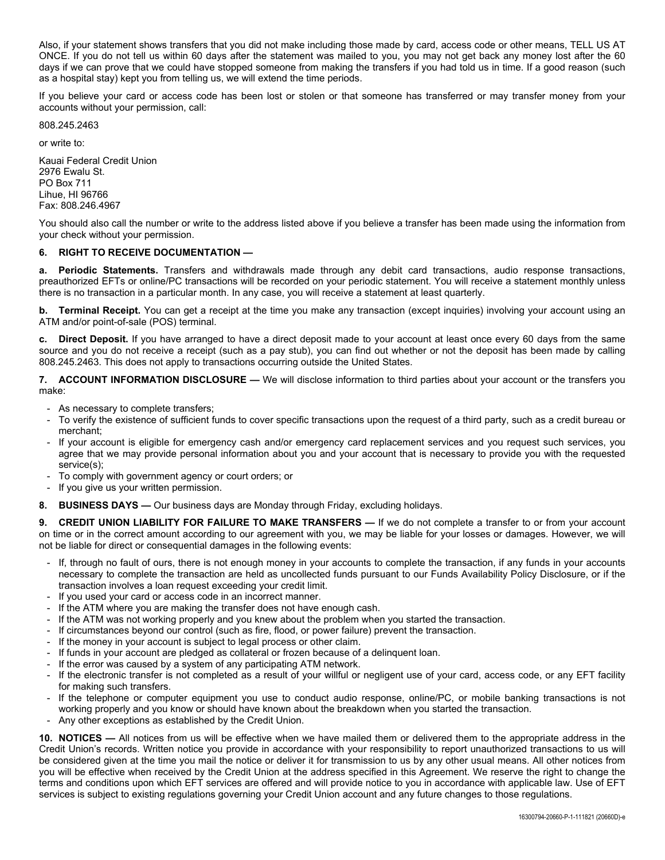Also, if your statement shows transfers that you did not make including those made by card, access code or other means, TELL US AT ONCE. If you do not tell us within 60 days after the statement was mailed to you, you may not get back any money lost after the 60 days if we can prove that we could have stopped someone from making the transfers if you had told us in time. If a good reason (such as a hospital stay) kept you from telling us, we will extend the time periods.

If you believe your card or access code has been lost or stolen or that someone has transferred or may transfer money from your accounts without your permission, call:

808.245.2463

or write to:

Kauai Federal Credit Union 2976 Ewalu St. PO Box 711 Lihue, HI 96766 Fax: 808.246.4967

You should also call the number or write to the address listed above if you believe a transfer has been made using the information from your check without your permission.

## **6. RIGHT TO RECEIVE DOCUMENTATION —**

**a. Periodic Statements.** Transfers and withdrawals made through any debit card transactions, audio response transactions, preauthorized EFTs or online/PC transactions will be recorded on your periodic statement. You will receive a statement monthly unless there is no transaction in a particular month. In any case, you will receive a statement at least quarterly.

**b.** Terminal Receipt. You can get a receipt at the time you make any transaction (except inquiries) involving your account using an ATM and/or point-of-sale (POS) terminal.

**c. Direct Deposit.** If you have arranged to have a direct deposit made to your account at least once every 60 days from the same source and you do not receive a receipt (such as a pay stub), you can find out whether or not the deposit has been made by calling 808.245.2463. This does not apply to transactions occurring outside the United States.

**7. ACCOUNT INFORMATION DISCLOSURE —** We will disclose information to third parties about your account or the transfers you make:

- As necessary to complete transfers;
- To verify the existence of sufficient funds to cover specific transactions upon the request of a third party, such as a credit bureau or merchant;
- If your account is eligible for emergency cash and/or emergency card replacement services and you request such services, you agree that we may provide personal information about you and your account that is necessary to provide you with the requested service(s);
- To comply with government agency or court orders; or
- If you give us your written permission.
- **8. BUSINESS DAYS —** Our business days are Monday through Friday, excluding holidays.

**9. CREDIT UNION LIABILITY FOR FAILURE TO MAKE TRANSFERS —** If we do not complete a transfer to or from your account on time or in the correct amount according to our agreement with you, we may be liable for your losses or damages. However, we will not be liable for direct or consequential damages in the following events:

- If, through no fault of ours, there is not enough money in your accounts to complete the transaction, if any funds in your accounts necessary to complete the transaction are held as uncollected funds pursuant to our Funds Availability Policy Disclosure, or if the transaction involves a loan request exceeding your credit limit.
- If you used your card or access code in an incorrect manner.
- If the ATM where you are making the transfer does not have enough cash.
- If the ATM was not working properly and you knew about the problem when you started the transaction.
- If circumstances beyond our control (such as fire, flood, or power failure) prevent the transaction.
- If the money in your account is subject to legal process or other claim.
- If funds in your account are pledged as collateral or frozen because of a delinquent loan.
- If the error was caused by a system of any participating ATM network.
- If the electronic transfer is not completed as a result of your willful or negligent use of your card, access code, or any EFT facility for making such transfers.
- If the telephone or computer equipment you use to conduct audio response, online/PC, or mobile banking transactions is not working properly and you know or should have known about the breakdown when you started the transaction.
- Any other exceptions as established by the Credit Union.

**10. NOTICES —** All notices from us will be effective when we have mailed them or delivered them to the appropriate address in the Credit Union's records. Written notice you provide in accordance with your responsibility to report unauthorized transactions to us will be considered given at the time you mail the notice or deliver it for transmission to us by any other usual means. All other notices from you will be effective when received by the Credit Union at the address specified in this Agreement. We reserve the right to change the terms and conditions upon which EFT services are offered and will provide notice to you in accordance with applicable law. Use of EFT services is subject to existing regulations governing your Credit Union account and any future changes to those regulations.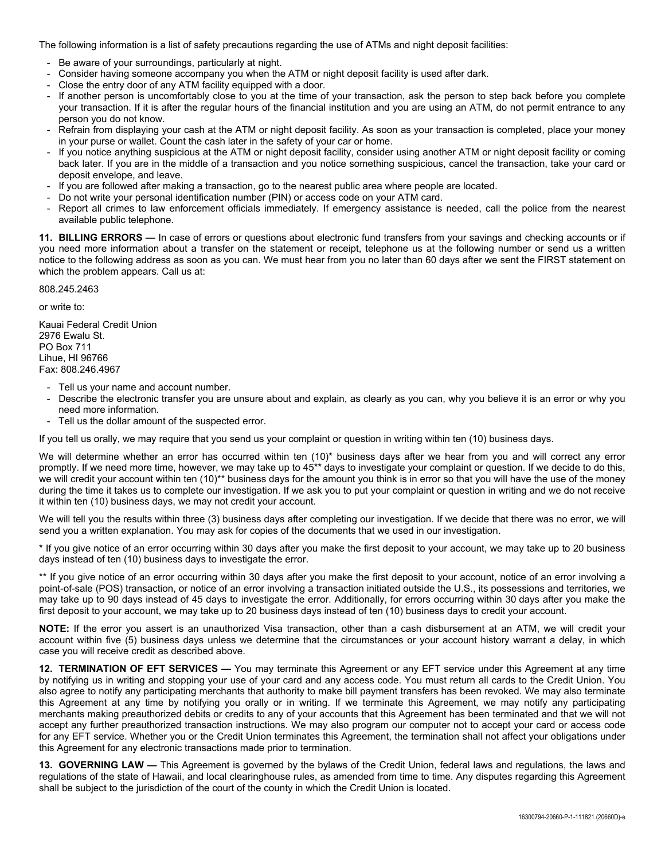The following information is a list of safety precautions regarding the use of ATMs and night deposit facilities:

- Be aware of your surroundings, particularly at night.
- Consider having someone accompany you when the ATM or night deposit facility is used after dark.
- Close the entry door of any ATM facility equipped with a door.
- If another person is uncomfortably close to you at the time of your transaction, ask the person to step back before you complete your transaction. If it is after the regular hours of the financial institution and you are using an ATM, do not permit entrance to any person you do not know.
- Refrain from displaying your cash at the ATM or night deposit facility. As soon as your transaction is completed, place your money in your purse or wallet. Count the cash later in the safety of your car or home.
- If you notice anything suspicious at the ATM or night deposit facility, consider using another ATM or night deposit facility or coming back later. If you are in the middle of a transaction and you notice something suspicious, cancel the transaction, take your card or deposit envelope, and leave.
- If you are followed after making a transaction, go to the nearest public area where people are located.
- Do not write your personal identification number (PIN) or access code on your ATM card.
- Report all crimes to law enforcement officials immediately. If emergency assistance is needed, call the police from the nearest available public telephone.

**11. BILLING ERRORS —** In case of errors or questions about electronic fund transfers from your savings and checking accounts or if you need more information about a transfer on the statement or receipt, telephone us at the following number or send us a written notice to the following address as soon as you can. We must hear from you no later than 60 days after we sent the FIRST statement on which the problem appears. Call us at:

808.245.2463

or write to:

Kauai Federal Credit Union 2976 Ewalu St. PO Box 711 Lihue, HI 96766 Fax: 808.246.4967

- Tell us your name and account number.
- Describe the electronic transfer you are unsure about and explain, as clearly as you can, why you believe it is an error or why you need more information.
- Tell us the dollar amount of the suspected error.

If you tell us orally, we may require that you send us your complaint or question in writing within ten (10) business days.

We will determine whether an error has occurred within ten (10)\* business days after we hear from you and will correct any error promptly. If we need more time, however, we may take up to 45\*\* days to investigate your complaint or question. If we decide to do this, we will credit your account within ten (10)\*\* business days for the amount you think is in error so that you will have the use of the money during the time it takes us to complete our investigation. If we ask you to put your complaint or question in writing and we do not receive it within ten (10) business days, we may not credit your account.

We will tell you the results within three (3) business days after completing our investigation. If we decide that there was no error, we will send you a written explanation. You may ask for copies of the documents that we used in our investigation.

\* If you give notice of an error occurring within 30 days after you make the first deposit to your account, we may take up to 20 business days instead of ten (10) business days to investigate the error.

\*\* If you give notice of an error occurring within 30 days after you make the first deposit to your account, notice of an error involving a point-of-sale (POS) transaction, or notice of an error involving a transaction initiated outside the U.S., its possessions and territories, we may take up to 90 days instead of 45 days to investigate the error. Additionally, for errors occurring within 30 days after you make the first deposit to your account, we may take up to 20 business days instead of ten (10) business days to credit your account.

**NOTE:** If the error you assert is an unauthorized Visa transaction, other than a cash disbursement at an ATM, we will credit your account within five (5) business days unless we determine that the circumstances or your account history warrant a delay, in which case you will receive credit as described above.

**12. TERMINATION OF EFT SERVICES —** You may terminate this Agreement or any EFT service under this Agreement at any time by notifying us in writing and stopping your use of your card and any access code. You must return all cards to the Credit Union. You also agree to notify any participating merchants that authority to make bill payment transfers has been revoked. We may also terminate this Agreement at any time by notifying you orally or in writing. If we terminate this Agreement, we may notify any participating merchants making preauthorized debits or credits to any of your accounts that this Agreement has been terminated and that we will not accept any further preauthorized transaction instructions. We may also program our computer not to accept your card or access code for any EFT service. Whether you or the Credit Union terminates this Agreement, the termination shall not affect your obligations under this Agreement for any electronic transactions made prior to termination.

**13. GOVERNING LAW —** This Agreement is governed by the bylaws of the Credit Union, federal laws and regulations, the laws and regulations of the state of Hawaii, and local clearinghouse rules, as amended from time to time. Any disputes regarding this Agreement shall be subject to the jurisdiction of the court of the county in which the Credit Union is located.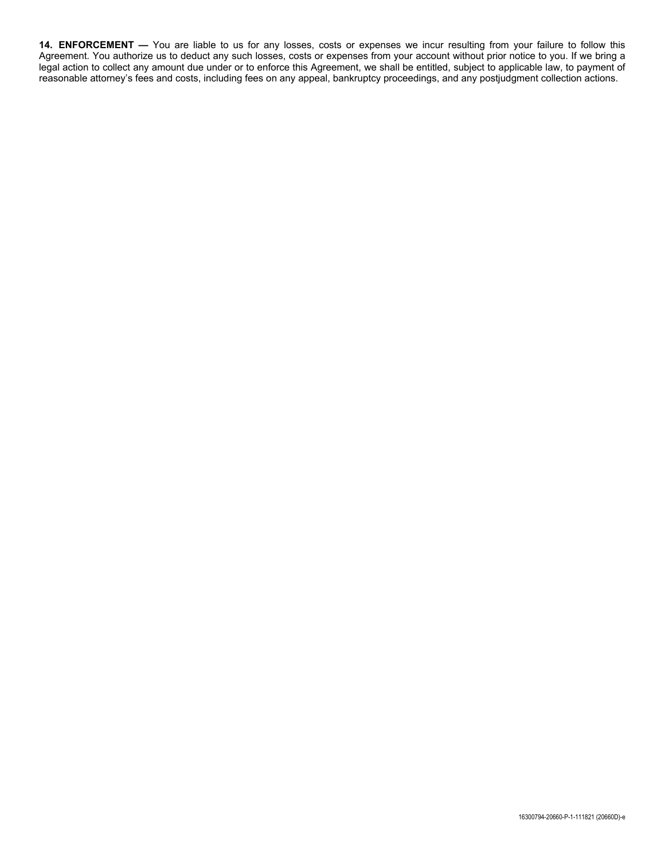**14. ENFORCEMENT —** You are liable to us for any losses, costs or expenses we incur resulting from your failure to follow this Agreement. You authorize us to deduct any such losses, costs or expenses from your account without prior notice to you. If we bring a legal action to collect any amount due under or to enforce this Agreement, we shall be entitled, subject to applicable law, to payment of reasonable attorney's fees and costs, including fees on any appeal, bankruptcy proceedings, and any postjudgment collection actions.